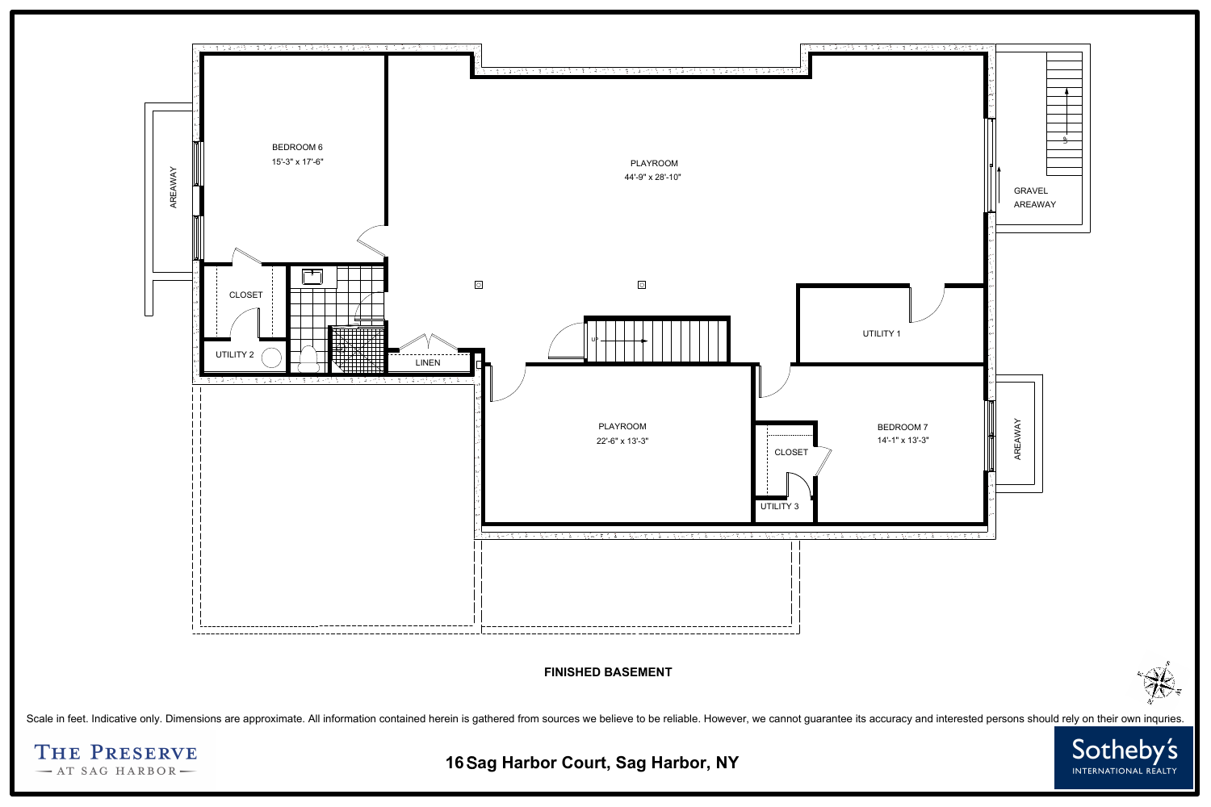

FINISHED BASEMENT<br>Scale in feet. Indicative only. Dimensions are approximate. All information contained herein is gathered from sources we believe to be reliable. However, we cannot guarantee its accuracy and interested pe